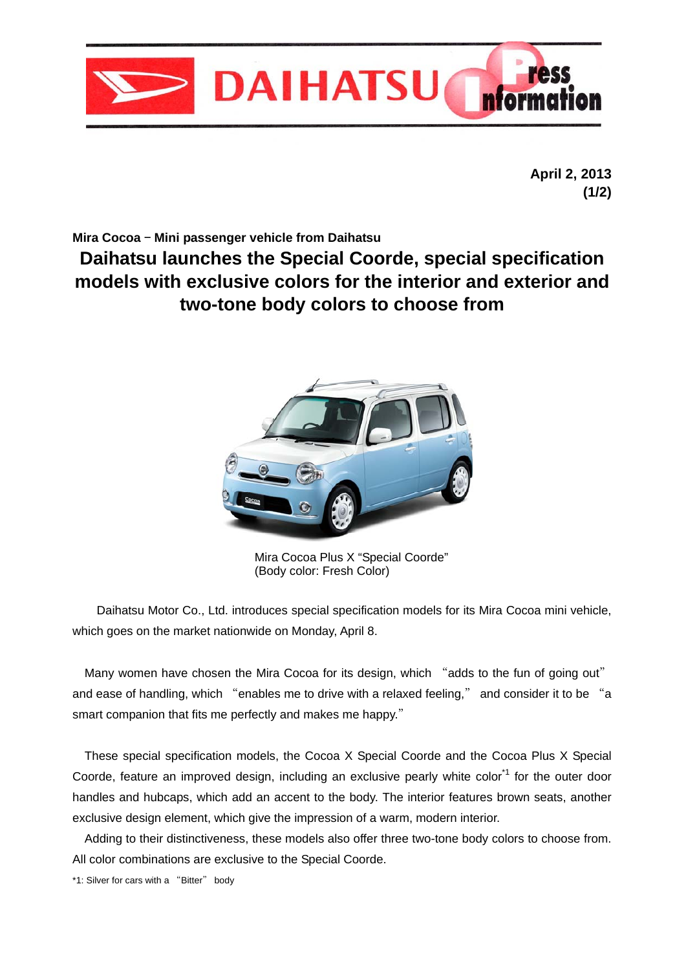

**April 2, 2013 (1/2)** 

**Mira Cocoa** – **Mini passenger vehicle from Daihatsu** 

**Daihatsu launches the Special Coorde, special specification models with exclusive colors for the interior and exterior and two-tone body colors to choose from** 



Mira Cocoa Plus X "Special Coorde" (Body color: Fresh Color)

Daihatsu Motor Co., Ltd. introduces special specification models for its Mira Cocoa mini vehicle, which goes on the market nationwide on Monday, April 8.

Many women have chosen the Mira Cocoa for its design, which "adds to the fun of going out" and ease of handling, which "enables me to drive with a relaxed feeling," and consider it to be "a smart companion that fits me perfectly and makes me happy."

These special specification models, the Cocoa X Special Coorde and the Cocoa Plus X Special Coorde, feature an improved design, including an exclusive pearly white color<sup>\*1</sup> for the outer door handles and hubcaps, which add an accent to the body. The interior features brown seats, another exclusive design element, which give the impression of a warm, modern interior.

Adding to their distinctiveness, these models also offer three two-tone body colors to choose from. All color combinations are exclusive to the Special Coorde.

\*1: Silver for cars with a "Bitter" body